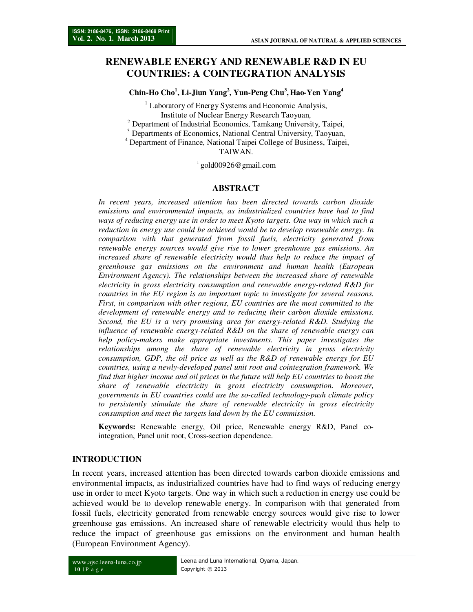# **RENEWABLE ENERGY AND RENEWABLE R&D IN EU COUNTRIES: A COINTEGRATION ANALYSIS**

**Chin-Ho Cho<sup>1</sup> , Li-Jiun Yang<sup>2</sup> , Yun-Peng Chu<sup>3</sup> , Hao-Yen Yang<sup>4</sup>**

<sup>1</sup> Laboratory of Energy Systems and Economic Analysis, Institute of Nuclear Energy Research Taoyuan,

<sup>2</sup> Department of Industrial Economics, Tamkang University, Taipei,

<sup>3</sup> Departments of Economics, National Central University, Taoyuan,

<sup>4</sup> Department of Finance, National Taipei College of Business, Taipei, TAIWAN.

 $1$  gold00926@gmail.com

### **ABSTRACT**

*In recent years, increased attention has been directed towards carbon dioxide emissions and environmental impacts, as industrialized countries have had to find ways of reducing energy use in order to meet Kyoto targets. One way in which such a reduction in energy use could be achieved would be to develop renewable energy. In comparison with that generated from fossil fuels, electricity generated from renewable energy sources would give rise to lower greenhouse gas emissions. An*  increased share of renewable electricity would thus help to reduce the impact of *greenhouse gas emissions on the environment and human health (European Environment Agency). The relationships between the increased share of renewable electricity in gross electricity consumption and renewable energy-related R&D for countries in the EU region is an important topic to investigate for several reasons. First, in comparison with other regions, EU countries are the most committed to the development of renewable energy and to reducing their carbon dioxide emissions. Second, the EU is a very promising area for energy-related R&D. Studying the influence of renewable energy-related R&D on the share of renewable energy can help policy-makers make appropriate investments. This paper investigates the relationships among the share of renewable electricity in gross electricity consumption, GDP, the oil price as well as the R&D of renewable energy for EU countries, using a newly-developed panel unit root and cointegration framework. We find that higher income and oil prices in the future will help EU countries to boost the share of renewable electricity in gross electricity consumption. Moreover, governments in EU countries could use the so-called technology-push climate policy*  to persistently stimulate the share of renewable electricity in gross electricity *consumption and meet the targets laid down by the EU commission.* 

**Keywords:** Renewable energy, Oil price, Renewable energy R&D, Panel cointegration, Panel unit root, Cross-section dependence.

### **INTRODUCTION**

In recent years, increased attention has been directed towards carbon dioxide emissions and environmental impacts, as industrialized countries have had to find ways of reducing energy use in order to meet Kyoto targets. One way in which such a reduction in energy use could be achieved would be to develop renewable energy. In comparison with that generated from fossil fuels, electricity generated from renewable energy sources would give rise to lower greenhouse gas emissions. An increased share of renewable electricity would thus help to reduce the impact of greenhouse gas emissions on the environment and human health (European Environment Agency).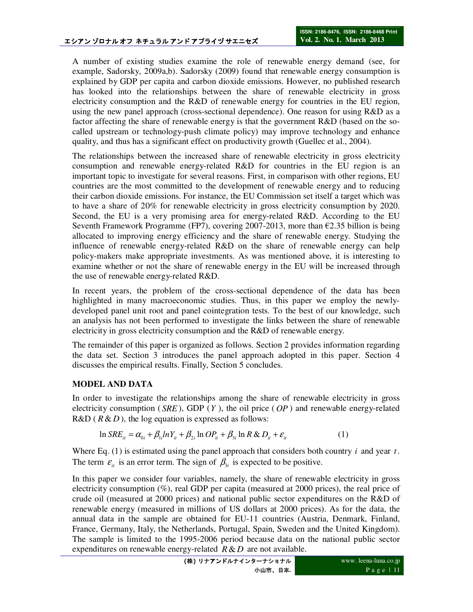A number of existing studies examine the role of renewable energy demand (see, for example, Sadorsky, 2009a,b). Sadorsky (2009) found that renewable energy consumption is explained by GDP per capita and carbon dioxide emissions. However, no published research has looked into the relationships between the share of renewable electricity in gross electricity consumption and the R&D of renewable energy for countries in the EU region, using the new panel approach (cross-sectional dependence). One reason for using R&D as a factor affecting the share of renewable energy is that the government R&D (based on the socalled upstream or technology-push climate policy) may improve technology and enhance quality, and thus has a significant effect on productivity growth (Guellec et al., 2004).

The relationships between the increased share of renewable electricity in gross electricity consumption and renewable energy-related R&D for countries in the EU region is an important topic to investigate for several reasons. First, in comparison with other regions, EU countries are the most committed to the development of renewable energy and to reducing their carbon dioxide emissions. For instance, the EU Commission set itself a target which was to have a share of 20% for renewable electricity in gross electricity consumption by 2020. Second, the EU is a very promising area for energy-related R&D. According to the EU Seventh Framework Programme (FP7), covering 2007-2013, more than  $\epsilon$ 2.35 billion is being allocated to improving energy efficiency and the share of renewable energy. Studying the influence of renewable energy-related R&D on the share of renewable energy can help policy-makers make appropriate investments. As was mentioned above, it is interesting to examine whether or not the share of renewable energy in the EU will be increased through the use of renewable energy-related R&D.

In recent years, the problem of the cross-sectional dependence of the data has been highlighted in many macroeconomic studies. Thus, in this paper we employ the newlydeveloped panel unit root and panel cointegration tests. To the best of our knowledge, such an analysis has not been performed to investigate the links between the share of renewable electricity in gross electricity consumption and the R&D of renewable energy.

The remainder of this paper is organized as follows. Section 2 provides information regarding the data set. Section 3 introduces the panel approach adopted in this paper. Section 4 discusses the empirical results. Finally, Section 5 concludes.

## **MODEL AND DATA**

In order to investigate the relationships among the share of renewable electricity in gross electricity consumption ( *SRE* ), GDP (*Y* ), the oil price ( *OP* ) and renewable energy-related  $R&D$  ( $R&D$ ), the log equation is expressed as follows:

$$
\ln SRE_{ii} = \alpha_{0i} + \beta_{1i}lnY_{ii} + \beta_{2i}lnOP_{ii} + \beta_{3i}lnR \& D_{ii} + \varepsilon_{ii}
$$
 (1)

Where Eq.  $(1)$  is estimated using the panel approach that considers both country *i* and year *t*. The term  $\varepsilon_{it}$  is an error term. The sign of  $\beta_{3i}$  is expected to be positive.

In this paper we consider four variables, namely, the share of renewable electricity in gross electricity consumption (%), real GDP per capita (measured at 2000 prices), the real price of crude oil (measured at 2000 prices) and national public sector expenditures on the R&D of renewable energy (measured in millions of US dollars at 2000 prices). As for the data, the annual data in the sample are obtained for EU-11 countries (Austria, Denmark, Finland, France, Germany, Italy, the Netherlands, Portugal, Spain, Sweden and the United Kingdom). The sample is limited to the 1995-2006 period because data on the national public sector expenditures on renewable energy-related  $R & D$  are not available.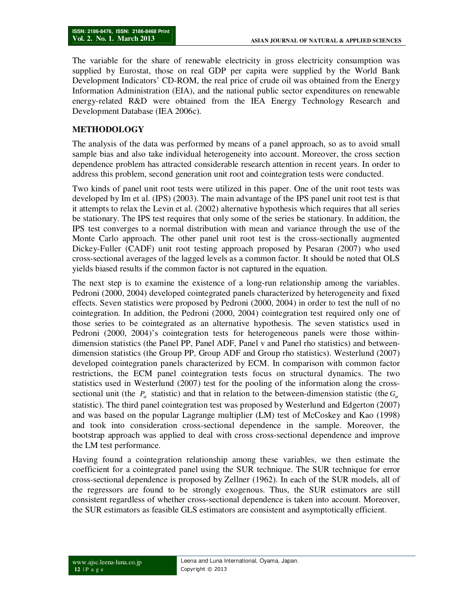The variable for the share of renewable electricity in gross electricity consumption was supplied by Eurostat, those on real GDP per capita were supplied by the World Bank Development Indicators' CD-ROM, the real price of crude oil was obtained from the Energy Information Administration (EIA), and the national public sector expenditures on renewable energy-related R&D were obtained from the IEA Energy Technology Research and Development Database (IEA 2006c).

## **METHODOLOGY**

The analysis of the data was performed by means of a panel approach, so as to avoid small sample bias and also take individual heterogeneity into account. Moreover, the cross section dependence problem has attracted considerable research attention in recent years. In order to address this problem, second generation unit root and cointegration tests were conducted.

Two kinds of panel unit root tests were utilized in this paper. One of the unit root tests was developed by Im et al. (IPS) (2003). The main advantage of the IPS panel unit root test is that it attempts to relax the Levin et al. (2002) alternative hypothesis which requires that all series be stationary. The IPS test requires that only some of the series be stationary. In addition, the IPS test converges to a normal distribution with mean and variance through the use of the Monte Carlo approach. The other panel unit root test is the cross-sectionally augmented Dickey-Fuller (CADF) unit root testing approach proposed by Pesaran (2007) who used cross-sectional averages of the lagged levels as a common factor. It should be noted that OLS yields biased results if the common factor is not captured in the equation.

The next step is to examine the existence of a long-run relationship among the variables. Pedroni (2000, 2004) developed cointegrated panels characterized by heterogeneity and fixed effects. Seven statistics were proposed by Pedroni (2000, 2004) in order to test the null of no cointegration. In addition, the Pedroni (2000, 2004) cointegration test required only one of those series to be cointegrated as an alternative hypothesis. The seven statistics used in Pedroni (2000, 2004)'s cointegration tests for heterogeneous panels were those withindimension statistics (the Panel PP, Panel ADF, Panel v and Panel rho statistics) and betweendimension statistics (the Group PP, Group ADF and Group rho statistics). Westerlund (2007) developed cointegration panels characterized by ECM. In comparison with common factor restrictions, the ECM panel cointegration tests focus on structural dynamics. The two statistics used in Westerlund (2007) test for the pooling of the information along the crosssectional unit (the  $P_\alpha$  statistic) and that in relation to the between-dimension statistic (the  $G_\alpha$ statistic). The third panel cointegration test was proposed by Westerlund and Edgerton (2007) and was based on the popular Lagrange multiplier (LM) test of McCoskey and Kao (1998) and took into consideration cross-sectional dependence in the sample. Moreover, the bootstrap approach was applied to deal with cross cross-sectional dependence and improve the LM test performance.

Having found a cointegration relationship among these variables, we then estimate the coefficient for a cointegrated panel using the SUR technique. The SUR technique for error cross-sectional dependence is proposed by Zellner (1962). In each of the SUR models, all of the regressors are found to be strongly exogenous. Thus, the SUR estimators are still consistent regardless of whether cross-sectional dependence is taken into account. Moreover, the SUR estimators as feasible GLS estimators are consistent and asymptotically efficient.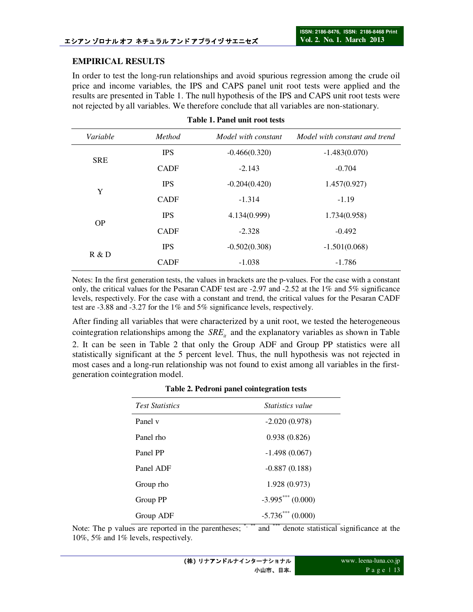## **EMPIRICAL RESULTS**

In order to test the long-run relationships and avoid spurious regression among the crude oil price and income variables, the IPS and CAPS panel unit root tests were applied and the results are presented in Table 1. The null hypothesis of the IPS and CAPS unit root tests were not rejected by all variables. We therefore conclude that all variables are non-stationary.

| Variable   | <b>Method</b> | Model with constant | Model with constant and trend |
|------------|---------------|---------------------|-------------------------------|
|            | <b>IPS</b>    | $-0.466(0.320)$     | $-1.483(0.070)$               |
| <b>SRE</b> | <b>CADF</b>   | $-2.143$            | $-0.704$                      |
|            | <b>IPS</b>    | $-0.204(0.420)$     | 1.457(0.927)                  |
| Y          | <b>CADF</b>   | $-1.314$            | $-1.19$                       |
|            | <b>IPS</b>    | 4.134(0.999)        | 1.734(0.958)                  |
| OP         | <b>CADF</b>   | $-2.328$            | $-0.492$                      |
|            | <b>IPS</b>    | $-0.502(0.308)$     | $-1.501(0.068)$               |
| R & D      | <b>CADF</b>   | $-1.038$            | $-1.786$                      |

| Table 1. Panel unit root tests |  |  |  |  |  |  |  |  |  |
|--------------------------------|--|--|--|--|--|--|--|--|--|
|--------------------------------|--|--|--|--|--|--|--|--|--|

Notes: In the first generation tests, the values in brackets are the p-values. For the case with a constant only, the critical values for the Pesaran CADF test are -2.97 and -2.52 at the 1% and 5% significance levels, respectively. For the case with a constant and trend, the critical values for the Pesaran CADF test are -3.88 and -3.27 for the 1% and 5% significance levels, respectively.

After finding all variables that were characterized by a unit root, we tested the heterogeneous cointegration relationships among the *SRE*<sub>*a*</sub> and the explanatory variables as shown in Table 2. It can be seen in Table 2 that only the Group ADF and Group PP statistics were all statistically significant at the 5 percent level. Thus, the null hypothesis was not rejected in most cases and a long-run relationship was not found to exist among all variables in the firstgeneration cointegration model.

| <b>Test Statistics</b> | <i>Statistics value</i> |
|------------------------|-------------------------|
| Panel v                | $-2.020(0.978)$         |
| Panel rho              | 0.938(0.826)            |
| Panel PP               | $-1.498(0.067)$         |
| Panel ADF              | $-0.887(0.188)$         |
| Group rho              | 1.928 (0.973)           |
| Group PP               | $-3.995***(0.000)$      |
| Group ADF              | $-5.736***$ (0.000)     |

### **Table 2. Pedroni panel cointegration tests**

Note: The p values are reported in the parentheses; \*,\*\*\* and \*\*\* denote statistical significance at the 10%, 5% and 1% levels, respectively.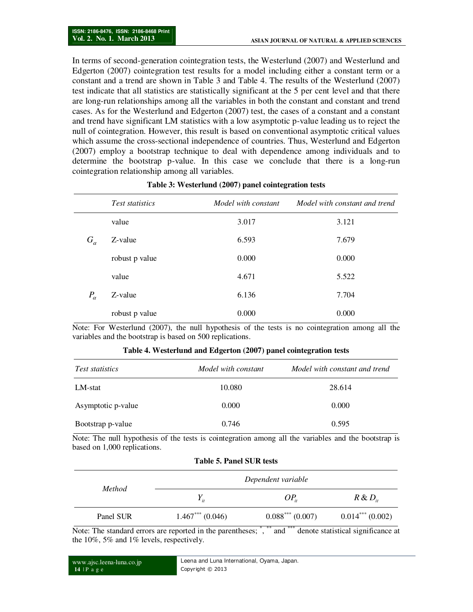In terms of second-generation cointegration tests, the Westerlund (2007) and Westerlund and Edgerton (2007) cointegration test results for a model including either a constant term or a constant and a trend are shown in Table 3 and Table 4. The results of the Westerlund (2007) test indicate that all statistics are statistically significant at the 5 per cent level and that there are long-run relationships among all the variables in both the constant and constant and trend cases. As for the Westerlund and Edgerton (2007) test, the cases of a constant and a constant and trend have significant LM statistics with a low asymptotic p-value leading us to reject the null of cointegration. However, this result is based on conventional asymptotic critical values which assume the cross-sectional independence of countries. Thus, Westerlund and Edgerton (2007) employ a bootstrap technique to deal with dependence among individuals and to determine the bootstrap p-value. In this case we conclude that there is a long-run cointegration relationship among all variables.

|              | <b>Test statistics</b> | Model with constant | Model with constant and trend |
|--------------|------------------------|---------------------|-------------------------------|
|              | value                  | 3.017               | 3.121                         |
| $G_{\alpha}$ | Z-value                | 6.593               | 7.679                         |
|              | robust p value         | 0.000               | 0.000                         |
|              | value                  | 4.671               | 5.522                         |
| $P_{\alpha}$ | Z-value                | 6.136               | 7.704                         |
|              | robust p value         | 0.000               | 0.000                         |

#### **Table 3: Westerlund (2007) panel cointegration tests**

Note: For Westerlund (2007), the null hypothesis of the tests is no cointegration among all the variables and the bootstrap is based on 500 replications.

| <i>Test statistics</i> | Model with constant | Model with constant and trend |
|------------------------|---------------------|-------------------------------|
| LM-stat                | 10.080              | 28.614                        |
| Asymptotic p-value     | 0.000               | 0.000                         |
| Bootstrap p-value      | 0.746               | 0.595                         |

#### **Table 4. Westerlund and Edgerton (2007) panel cointegration tests**

Note: The null hypothesis of the tests is cointegration among all the variables and the bootstrap is based on 1,000 replications.

**Table 5. Panel SUR tests** 

| <i>Method</i> | Dependent variable |                   |                   |  |
|---------------|--------------------|-------------------|-------------------|--|
|               |                    | $OP_{ii}$         | $R \& D_{ii}$     |  |
| Panel SUR     | $1.467***(0.046)$  | $0.088***(0.007)$ | $0.014***(0.002)$ |  |

### Note: The standard errors are reported in the parentheses; "," and "" denote statistical significance at the 10%, 5% and 1% levels, respectively.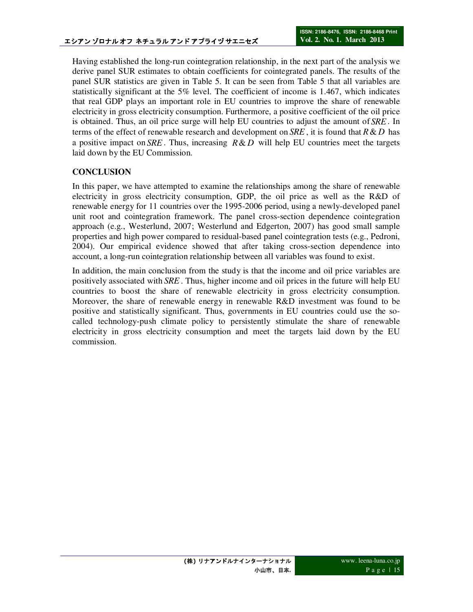Having established the long-run cointegration relationship, in the next part of the analysis we derive panel SUR estimates to obtain coefficients for cointegrated panels. The results of the panel SUR statistics are given in Table 5. It can be seen from Table 5 that all variables are statistically significant at the 5% level. The coefficient of income is 1.467, which indicates that real GDP plays an important role in EU countries to improve the share of renewable electricity in gross electricity consumption. Furthermore, a positive coefficient of the oil price is obtained. Thus, an oil price surge will help EU countries to adjust the amount of *SRE*. In terms of the effect of renewable research and development on *SRE*, it is found that  $R \& D$  has a positive impact on  $SRE$ . Thus, increasing  $R & D$  will help EU countries meet the targets laid down by the EU Commission.

# **CONCLUSION**

In this paper, we have attempted to examine the relationships among the share of renewable electricity in gross electricity consumption, GDP, the oil price as well as the R&D of renewable energy for 11 countries over the 1995-2006 period, using a newly-developed panel unit root and cointegration framework. The panel cross-section dependence cointegration approach (e.g., Westerlund, 2007; Westerlund and Edgerton, 2007) has good small sample properties and high power compared to residual-based panel cointegration tests (e.g., Pedroni, 2004). Our empirical evidence showed that after taking cross-section dependence into account, a long-run cointegration relationship between all variables was found to exist.

In addition, the main conclusion from the study is that the income and oil price variables are positively associated with *SRE* . Thus, higher income and oil prices in the future will help EU countries to boost the share of renewable electricity in gross electricity consumption. Moreover, the share of renewable energy in renewable R&D investment was found to be positive and statistically significant. Thus, governments in EU countries could use the socalled technology-push climate policy to persistently stimulate the share of renewable electricity in gross electricity consumption and meet the targets laid down by the EU commission.